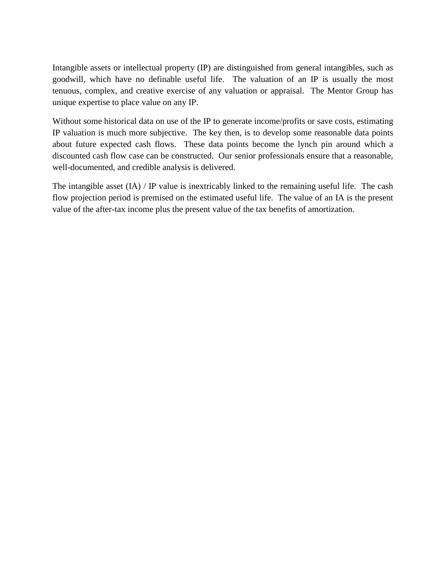Intangible assets or intellectual property (IP) are distinguished from general intangibles, such as goodwill, which have no definable useful life. The valuation of an IP is usually the most tenuous, complex, and creative exercise of any valuation or appraisal. The Mentor Group has unique expertise to place value on any IP.

Without some historical data on use of the IP to generate income/profits or save costs, estimating IP valuation is much more subjective. The key then, is to develop some reasonable data points about future expected cash flows. These data points become the lynch pin around which a discounted cash flow case can be constructed. Our senior professionals ensure that a reasonable, well-documented, and credible analysis is delivered.

The intangible asset (IA) / IP value is inextricably linked to the remaining useful life. The cash flow projection period is premised on the estimated useful life. The value of an IA is the present value of the after-tax income plus the present value of the tax benefits of amortization.